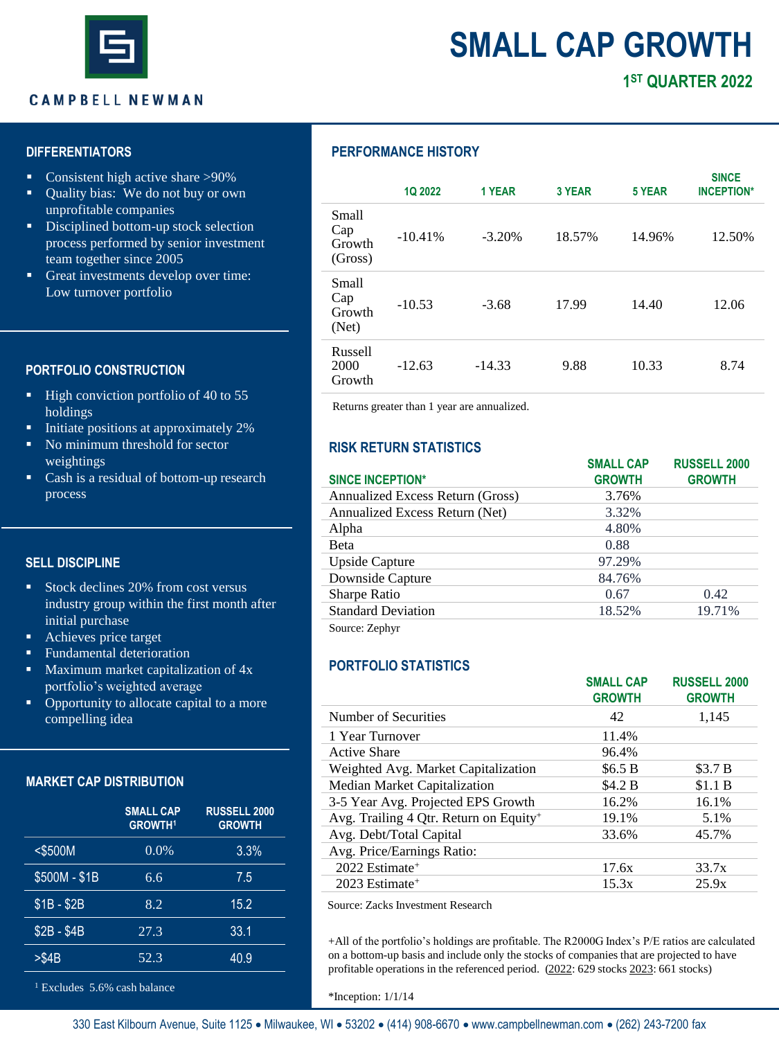

# **SMALL CAP GROWTH**

### **CAMPBELL NEWMAN**

# **1 ST QUARTER 2022**

### **DIFFERENTIATORS**

- Consistent high active share >90%
- Quality bias: We do not buy or own unprofitable companies
- **•** Disciplined bottom-up stock selection process performed by senior investment team together since 2005
- Great investments develop over time: Low turnover portfolio

### **PORTFOLIO CONSTRUCTION**

- High conviction portfolio of 40 to 55 holdings
- Initiate positions at approximately 2%
- No minimum threshold for sector weightings
- Cash is a residual of bottom-up research process

### **SELL DISCIPLINE**

- Stock declines 20% from cost versus industry group within the first month after initial purchase
- Achieves price target
- **E** Fundamental deterioration
- **•** Maximum market capitalization of  $4x$ portfolio's weighted average
- Opportunity to allocate capital to a more compelling idea

### **MARKET CAP DISTRIBUTION**

|               | <b>SMALL CAP</b><br><b>GROWTH1</b> | <b>RUSSELL 2000</b><br><b>GROWTH</b> |
|---------------|------------------------------------|--------------------------------------|
| $<$ \$500M    | 0.0%                               | 3.3%                                 |
| \$500M - \$1B | 6.6                                | 7.5                                  |
| $$1B - $2B$   | 8.2                                | 15.2                                 |
| $$2B - $4B$   | 27.3                               | 33.1                                 |
| $>\$4B$       | 52.3                               | 40.9                                 |

<sup>1</sup> Excludes 5.6% cash balance

### **PERFORMANCE HISTORY**

|                                   | <b>1Q 2022</b> | 1 YEAR   | <b>3 YEAR</b> | 5 YEAR | <b>SINCE</b><br><b>INCEPTION*</b> |
|-----------------------------------|----------------|----------|---------------|--------|-----------------------------------|
| Small<br>Cap<br>Growth<br>(Gross) | $-10.41%$      | $-3.20%$ | 18.57%        | 14.96% | 12.50%                            |
| Small<br>Cap<br>Growth<br>(Net)   | $-10.53$       | $-3.68$  | 17.99         | 14.40  | 12.06                             |
| Russell<br>2000<br>Growth         | $-12.63$       | $-14.33$ | 9.88          | 10.33  | 8.74                              |

Returns greater than 1 year are annualized.

### **RISK RETURN STATISTICS**

| <b>SINCE INCEPTION*</b>          | <b>SMALL CAP</b><br><b>GROWTH</b> | <b>RUSSELL 2000</b><br><b>GROWTH</b> |
|----------------------------------|-----------------------------------|--------------------------------------|
|                                  |                                   |                                      |
| Annualized Excess Return (Gross) | 3.76%                             |                                      |
| Annualized Excess Return (Net)   | 3.32%                             |                                      |
| Alpha                            | 4.80%                             |                                      |
| Beta                             | 0.88                              |                                      |
| <b>Upside Capture</b>            | 97.29%                            |                                      |
| Downside Capture                 | 84.76%                            |                                      |
| Sharpe Ratio                     | 0.67                              | 0.42                                 |
| <b>Standard Deviation</b>        | 18.52%                            | 19.71%                               |
| Source: Zephyr                   |                                   |                                      |

### **PORTFOLIO STATISTICS**

|                                        | <b>SMALL CAP</b><br><b>GROWTH</b> | <b>RUSSELL 2000</b><br><b>GROWTH</b> |
|----------------------------------------|-----------------------------------|--------------------------------------|
| Number of Securities                   | 42                                | 1,145                                |
| 1 Year Turnover                        | 11.4%                             |                                      |
| Active Share                           | 96.4%                             |                                      |
| Weighted Avg. Market Capitalization    | \$6.5 B                           | \$3.7 B                              |
| Median Market Capitalization           | \$4.2 B                           | \$1.1 B                              |
| 3-5 Year Avg. Projected EPS Growth     | 16.2%                             | 16.1%                                |
| Avg. Trailing 4 Qtr. Return on Equity+ | 19.1%                             | 5.1%                                 |
| Avg. Debt/Total Capital                | 33.6%                             | 45.7%                                |
| Avg. Price/Earnings Ratio:             |                                   |                                      |
| 2022 Estimate <sup>+</sup>             | 17.6x                             | 33.7x                                |
| $2023$ Estimate <sup>+</sup>           | 15.3x                             | 25.9x                                |
|                                        |                                   |                                      |

Source: Zacks Investment Research

+All of the portfolio's holdings are profitable. The R2000G Index's P/E ratios are calculated on a bottom-up basis and include only the stocks of companies that are projected to have profitable operations in the referenced period. (2022: 629 stocks 2023: 661 stocks)

\*Inception: 1/1/14